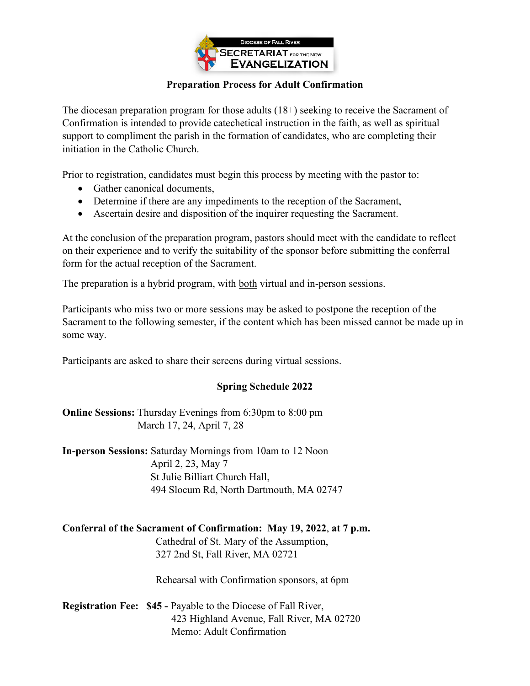

## **Preparation Process for Adult Confirmation**

The diocesan preparation program for those adults (18+) seeking to receive the Sacrament of Confirmation is intended to provide catechetical instruction in the faith, as well as spiritual support to compliment the parish in the formation of candidates, who are completing their initiation in the Catholic Church.

Prior to registration, candidates must begin this process by meeting with the pastor to:

- Gather canonical documents,
- Determine if there are any impediments to the reception of the Sacrament,
- Ascertain desire and disposition of the inquirer requesting the Sacrament.

At the conclusion of the preparation program, pastors should meet with the candidate to reflect on their experience and to verify the suitability of the sponsor before submitting the conferral form for the actual reception of the Sacrament.

The preparation is a hybrid program, with both virtual and in-person sessions.

Participants who miss two or more sessions may be asked to postpone the reception of the Sacrament to the following semester, if the content which has been missed cannot be made up in some way.

Participants are asked to share their screens during virtual sessions.

## **Spring Schedule 2022**

**Online Sessions:** Thursday Evenings from 6:30pm to 8:00 pm March 17, 24, April 7, 28

**In-person Sessions:** Saturday Mornings from 10am to 12 Noon April 2, 23, May 7 St Julie Billiart Church Hall, 494 Slocum Rd, North Dartmouth, MA 02747

## **Conferral of the Sacrament of Confirmation: May 19, 2022**, **at 7 p.m.**

Cathedral of St. Mary of the Assumption, 327 2nd St, Fall River, MA 02721

Rehearsal with Confirmation sponsors, at 6pm

**Registration Fee: \$45 -** Payable to the Diocese of Fall River, 423 Highland Avenue, Fall River, MA 02720 Memo: Adult Confirmation